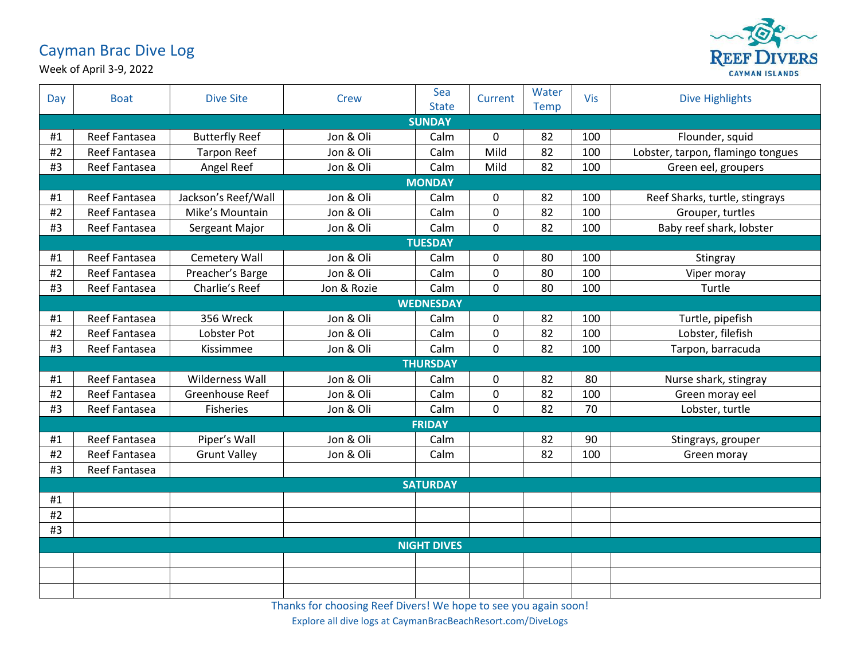## Cayman Brac Dive Log





| Day | <b>Boat</b>        | <b>Dive Site</b>      | Crew        | Sea<br><b>State</b> | Current | Water<br>Temp | <b>Vis</b> | <b>Dive Highlights</b>            |  |  |
|-----|--------------------|-----------------------|-------------|---------------------|---------|---------------|------------|-----------------------------------|--|--|
|     |                    |                       |             | <b>SUNDAY</b>       |         |               |            |                                   |  |  |
| #1  | Reef Fantasea      | <b>Butterfly Reef</b> | Jon & Oli   | Calm                | 0       | 82            | 100        | Flounder, squid                   |  |  |
| #2  | Reef Fantasea      | <b>Tarpon Reef</b>    | Jon & Oli   | Calm                | Mild    | 82            | 100        | Lobster, tarpon, flamingo tongues |  |  |
| #3  | Reef Fantasea      | Angel Reef            | Jon & Oli   | Calm                | Mild    | 82            | 100        | Green eel, groupers               |  |  |
|     |                    |                       |             | <b>MONDAY</b>       |         |               |            |                                   |  |  |
| #1  | Reef Fantasea      | Jackson's Reef/Wall   | Jon & Oli   | Calm                | 0       | 82            | 100        | Reef Sharks, turtle, stingrays    |  |  |
| #2  | Reef Fantasea      | Mike's Mountain       | Jon & Oli   | Calm                | 0       | 82            | 100        | Grouper, turtles                  |  |  |
| #3  | Reef Fantasea      | Sergeant Major        | Jon & Oli   | Calm                | 0       | 82            | 100        | Baby reef shark, lobster          |  |  |
|     | <b>TUESDAY</b>     |                       |             |                     |         |               |            |                                   |  |  |
| #1  | Reef Fantasea      | Cemetery Wall         | Jon & Oli   | Calm                | 0       | 80            | 100        | Stingray                          |  |  |
| #2  | Reef Fantasea      | Preacher's Barge      | Jon & Oli   | Calm                | 0       | 80            | 100        | Viper moray                       |  |  |
| #3  | Reef Fantasea      | Charlie's Reef        | Jon & Rozie | Calm                | 0       | 80            | 100        | Turtle                            |  |  |
|     |                    |                       |             | <b>WEDNESDAY</b>    |         |               |            |                                   |  |  |
| #1  | Reef Fantasea      | 356 Wreck             | Jon & Oli   | Calm                | 0       | 82            | 100        | Turtle, pipefish                  |  |  |
| #2  | Reef Fantasea      | Lobster Pot           | Jon & Oli   | Calm                | 0       | 82            | 100        | Lobster, filefish                 |  |  |
| #3  | Reef Fantasea      | Kissimmee             | Jon & Oli   | Calm                | 0       | 82            | 100        | Tarpon, barracuda                 |  |  |
|     |                    |                       |             | <b>THURSDAY</b>     |         |               |            |                                   |  |  |
| #1  | Reef Fantasea      | Wilderness Wall       | Jon & Oli   | Calm                | 0       | 82            | 80         | Nurse shark, stingray             |  |  |
| #2  | Reef Fantasea      | Greenhouse Reef       | Jon & Oli   | Calm                | 0       | 82            | 100        | Green moray eel                   |  |  |
| #3  | Reef Fantasea      | <b>Fisheries</b>      | Jon & Oli   | Calm                | 0       | 82            | 70         | Lobster, turtle                   |  |  |
|     | <b>FRIDAY</b>      |                       |             |                     |         |               |            |                                   |  |  |
| #1  | Reef Fantasea      | Piper's Wall          | Jon & Oli   | Calm                |         | 82            | 90         | Stingrays, grouper                |  |  |
| #2  | Reef Fantasea      | <b>Grunt Valley</b>   | Jon & Oli   | Calm                |         | 82            | 100        | Green moray                       |  |  |
| #3  | Reef Fantasea      |                       |             |                     |         |               |            |                                   |  |  |
|     | <b>SATURDAY</b>    |                       |             |                     |         |               |            |                                   |  |  |
| #1  |                    |                       |             |                     |         |               |            |                                   |  |  |
| #2  |                    |                       |             |                     |         |               |            |                                   |  |  |
| #3  |                    |                       |             |                     |         |               |            |                                   |  |  |
|     | <b>NIGHT DIVES</b> |                       |             |                     |         |               |            |                                   |  |  |
|     |                    |                       |             |                     |         |               |            |                                   |  |  |
|     |                    |                       |             |                     |         |               |            |                                   |  |  |
|     |                    |                       |             |                     |         |               |            |                                   |  |  |

Thanks for choosing Reef Divers! We hope to see you again soon!

Explore all dive logs at CaymanBracBeachResort.com/DiveLogs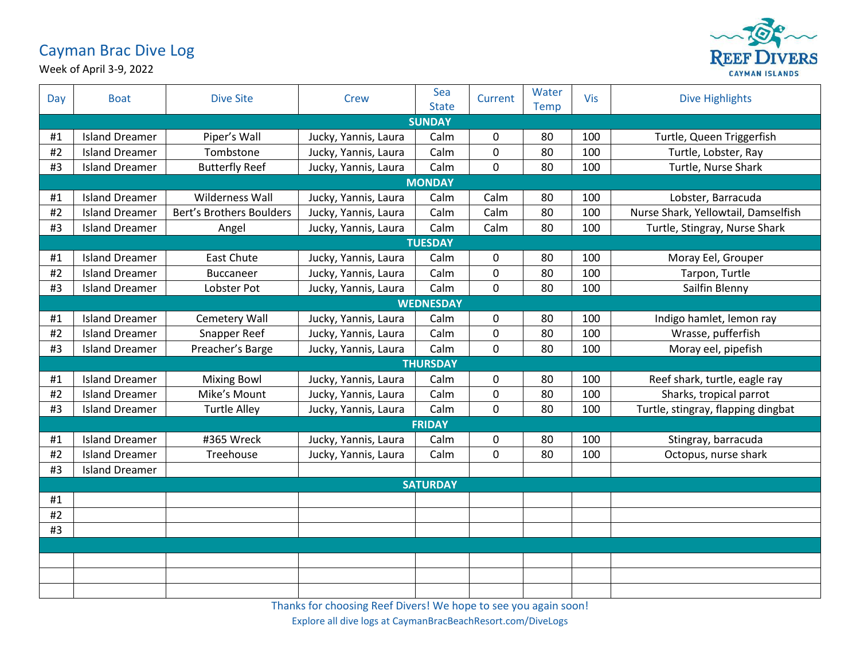## Cayman Brac Dive Log





| Day | <b>Boat</b>           | <b>Dive Site</b>         | <b>Crew</b>          | Sea<br><b>State</b> | Current     | Water<br><b>Temp</b> | <b>Vis</b> | <b>Dive Highlights</b>              |  |  |
|-----|-----------------------|--------------------------|----------------------|---------------------|-------------|----------------------|------------|-------------------------------------|--|--|
|     | <b>SUNDAY</b>         |                          |                      |                     |             |                      |            |                                     |  |  |
| #1  | <b>Island Dreamer</b> | Piper's Wall             | Jucky, Yannis, Laura | Calm                | 0           | 80                   | 100        | Turtle, Queen Triggerfish           |  |  |
| #2  | <b>Island Dreamer</b> | Tombstone                | Jucky, Yannis, Laura | Calm                | $\pmb{0}$   | 80                   | 100        | Turtle, Lobster, Ray                |  |  |
| #3  | <b>Island Dreamer</b> | <b>Butterfly Reef</b>    | Jucky, Yannis, Laura | Calm                | $\pmb{0}$   | 80                   | 100        | Turtle, Nurse Shark                 |  |  |
|     |                       |                          |                      | <b>MONDAY</b>       |             |                      |            |                                     |  |  |
| #1  | <b>Island Dreamer</b> | Wilderness Wall          | Jucky, Yannis, Laura | Calm                | Calm        | 80                   | 100        | Lobster, Barracuda                  |  |  |
| #2  | <b>Island Dreamer</b> | Bert's Brothers Boulders | Jucky, Yannis, Laura | Calm                | Calm        | 80                   | 100        | Nurse Shark, Yellowtail, Damselfish |  |  |
| #3  | <b>Island Dreamer</b> | Angel                    | Jucky, Yannis, Laura | Calm                | Calm        | 80                   | 100        | Turtle, Stingray, Nurse Shark       |  |  |
|     |                       |                          |                      | <b>TUESDAY</b>      |             |                      |            |                                     |  |  |
| #1  | <b>Island Dreamer</b> | <b>East Chute</b>        | Jucky, Yannis, Laura | Calm                | 0           | 80                   | 100        | Moray Eel, Grouper                  |  |  |
| #2  | <b>Island Dreamer</b> | <b>Buccaneer</b>         | Jucky, Yannis, Laura | Calm                | $\pmb{0}$   | 80                   | 100        | Tarpon, Turtle                      |  |  |
| #3  | <b>Island Dreamer</b> | Lobster Pot              | Jucky, Yannis, Laura | Calm                | $\mathbf 0$ | 80                   | 100        | Sailfin Blenny                      |  |  |
|     |                       |                          |                      | <b>WEDNESDAY</b>    |             |                      |            |                                     |  |  |
| #1  | <b>Island Dreamer</b> | Cemetery Wall            | Jucky, Yannis, Laura | Calm                | 0           | 80                   | 100        | Indigo hamlet, lemon ray            |  |  |
| #2  | <b>Island Dreamer</b> | Snapper Reef             | Jucky, Yannis, Laura | Calm                | $\pmb{0}$   | 80                   | 100        | Wrasse, pufferfish                  |  |  |
| #3  | <b>Island Dreamer</b> | Preacher's Barge         | Jucky, Yannis, Laura | Calm                | $\mathbf 0$ | 80                   | 100        | Moray eel, pipefish                 |  |  |
|     |                       |                          |                      | <b>THURSDAY</b>     |             |                      |            |                                     |  |  |
| #1  | <b>Island Dreamer</b> | <b>Mixing Bowl</b>       | Jucky, Yannis, Laura | Calm                | 0           | 80                   | 100        | Reef shark, turtle, eagle ray       |  |  |
| #2  | <b>Island Dreamer</b> | Mike's Mount             | Jucky, Yannis, Laura | Calm                | $\pmb{0}$   | 80                   | 100        | Sharks, tropical parrot             |  |  |
| #3  | <b>Island Dreamer</b> | <b>Turtle Alley</b>      | Jucky, Yannis, Laura | Calm                | $\mathbf 0$ | 80                   | 100        | Turtle, stingray, flapping dingbat  |  |  |
|     | <b>FRIDAY</b>         |                          |                      |                     |             |                      |            |                                     |  |  |
| #1  | <b>Island Dreamer</b> | #365 Wreck               | Jucky, Yannis, Laura | Calm                | $\pmb{0}$   | 80                   | 100        | Stingray, barracuda                 |  |  |
| #2  | <b>Island Dreamer</b> | Treehouse                | Jucky, Yannis, Laura | Calm                | $\mathbf 0$ | 80                   | 100        | Octopus, nurse shark                |  |  |
| #3  | <b>Island Dreamer</b> |                          |                      |                     |             |                      |            |                                     |  |  |
|     | <b>SATURDAY</b>       |                          |                      |                     |             |                      |            |                                     |  |  |
| #1  |                       |                          |                      |                     |             |                      |            |                                     |  |  |
| #2  |                       |                          |                      |                     |             |                      |            |                                     |  |  |
| #3  |                       |                          |                      |                     |             |                      |            |                                     |  |  |
|     |                       |                          |                      |                     |             |                      |            |                                     |  |  |
|     |                       |                          |                      |                     |             |                      |            |                                     |  |  |
|     |                       |                          |                      |                     |             |                      |            |                                     |  |  |
|     |                       |                          |                      |                     |             |                      |            |                                     |  |  |

Thanks for choosing Reef Divers! We hope to see you again soon!

Explore all dive logs at CaymanBracBeachResort.com/DiveLogs